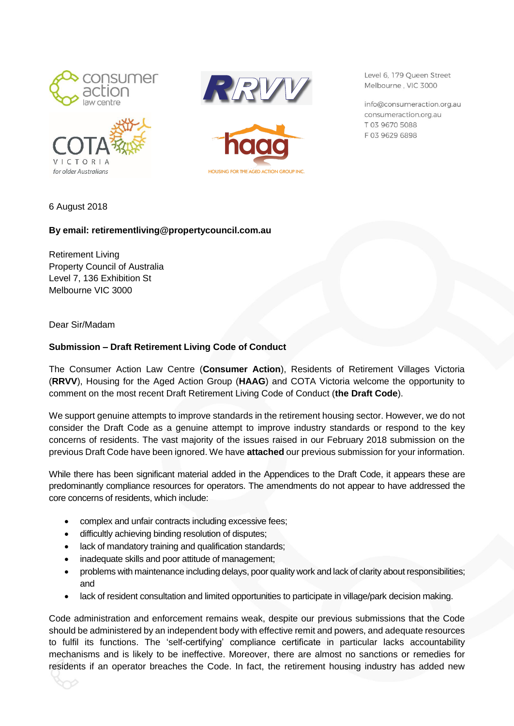







Level 6, 179 Oueen Street Melbourne, VIC 3000

info@consumeraction.org.au consumeraction.org.au T 03 9670 5088 F0396296898

6 August 2018

## **By email: retirementliving@propertycouncil.com.au**

Retirement Living Property Council of Australia Level 7, 136 Exhibition St Melbourne VIC 3000

Dear Sir/Madam

## **Submission – Draft Retirement Living Code of Conduct**

The Consumer Action Law Centre (**Consumer Action**), Residents of Retirement Villages Victoria (**RRVV**), Housing for the Aged Action Group (**HAAG**) and COTA Victoria welcome the opportunity to comment on the most recent Draft Retirement Living Code of Conduct (**the Draft Code**).

We support genuine attempts to improve standards in the retirement housing sector. However, we do not consider the Draft Code as a genuine attempt to improve industry standards or respond to the key concerns of residents. The vast majority of the issues raised in our February 2018 submission on the previous Draft Code have been ignored. We have **attached** our previous submission for your information.

While there has been significant material added in the Appendices to the Draft Code, it appears these are predominantly compliance resources for operators. The amendments do not appear to have addressed the core concerns of residents, which include:

- complex and unfair contracts including excessive fees;
- difficultly achieving binding resolution of disputes;
- lack of mandatory training and qualification standards;
- inadequate skills and poor attitude of management;
- problems with maintenance including delays, poor quality work and lack of clarity about responsibilities; and
- lack of resident consultation and limited opportunities to participate in village/park decision making.

Code administration and enforcement remains weak, despite our previous submissions that the Code should be administered by an independent body with effective remit and powers, and adequate resources to fulfil its functions. The 'self-certifying' compliance certificate in particular lacks accountability mechanisms and is likely to be ineffective. Moreover, there are almost no sanctions or remedies for residents if an operator breaches the Code. In fact, the retirement housing industry has added new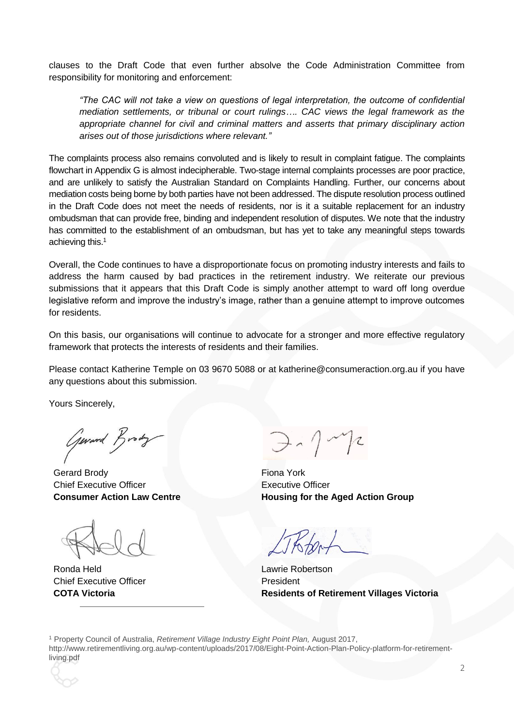clauses to the Draft Code that even further absolve the Code Administration Committee from responsibility for monitoring and enforcement:

*"The CAC will not take a view on questions of legal interpretation, the outcome of confidential mediation settlements, or tribunal or court rulings…. CAC views the legal framework as the appropriate channel for civil and criminal matters and asserts that primary disciplinary action arises out of those jurisdictions where relevant."*

The complaints process also remains convoluted and is likely to result in complaint fatigue. The complaints flowchart in Appendix G is almost indecipherable. Two-stage internal complaints processes are poor practice, and are unlikely to satisfy the Australian Standard on Complaints Handling. Further, our concerns about mediation costs being borne by both parties have not been addressed. The dispute resolution process outlined in the Draft Code does not meet the needs of residents, nor is it a suitable replacement for an industry ombudsman that can provide free, binding and independent resolution of disputes. We note that the industry has committed to the establishment of an ombudsman, but has yet to take any meaningful steps towards achieving this.<sup>1</sup>

Overall, the Code continues to have a disproportionate focus on promoting industry interests and fails to address the harm caused by bad practices in the retirement industry. We reiterate our previous submissions that it appears that this Draft Code is simply another attempt to ward off long overdue legislative reform and improve the industry's image, rather than a genuine attempt to improve outcomes for residents.

On this basis, our organisations will continue to advocate for a stronger and more effective regulatory framework that protects the interests of residents and their families.

Please contact Katherine Temple on 03 9670 5088 or at katherine@consumeraction.org.au if you have any questions about this submission.

Yours Sincerely,

Gerard Brody

Gerard Brody **Fional York Fional** Chief Executive Officer **Consumer Action Law Centre**

Ronda Held **Lawrie Robertson** Chief Executive Officer **COTA Victoria**

 $\overline{a}$ 

 $\Rightarrow$   $\gamma$   $\sim$   $\gamma$ 

Executive Officer **Housing for the Aged Action Group**

President **Residents of Retirement Villages Victoria**

<sup>1</sup> Property Council of Australia, *Retirement Village Industry Eight Point Plan,* August 2017, http://www.retirementliving.org.au/wp-content/uploads/2017/08/Eight-Point-Action-Plan-Policy-platform-for-retirementliving.pdf